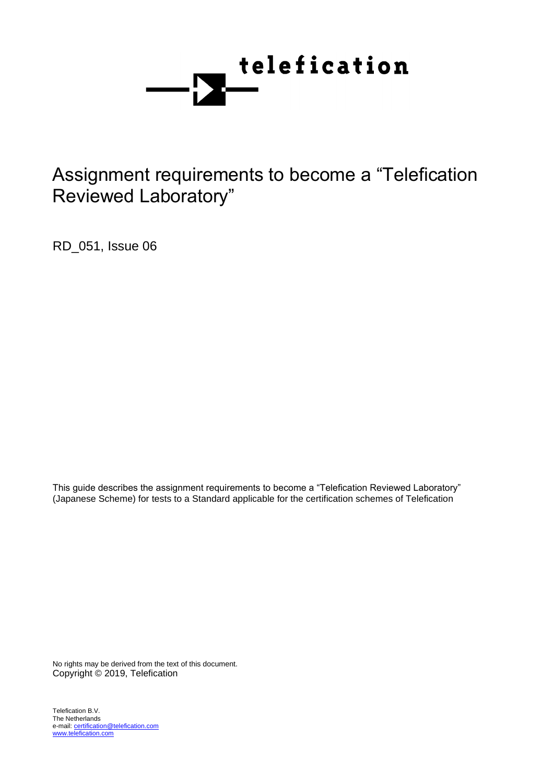

# Assignment requirements to become a "Telefication Reviewed Laboratory"

RD\_051, Issue 06

This guide describes the assignment requirements to become a "Telefication Reviewed Laboratory" (Japanese Scheme) for tests to a Standard applicable for the certification schemes of Telefication

No rights may be derived from the text of this document. Copyright © 2019, Telefication

Telefication B.V. The Netherlands e-mail: certification@telefication.com www.telefication.com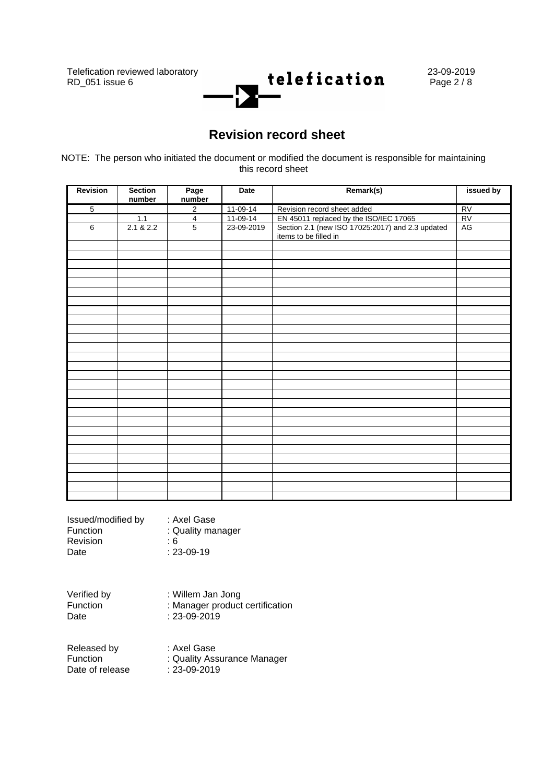

# **Revision record sheet**

NOTE: The person who initiated the document or modified the document is responsible for maintaining this record sheet

| Revision       | <b>Section</b><br>number | Page<br>number          | Date       | Remark(s)                                                                 | issued by |
|----------------|--------------------------|-------------------------|------------|---------------------------------------------------------------------------|-----------|
| $\overline{5}$ |                          | $\overline{2}$          | $11-09-14$ | Revision record sheet added                                               | RV        |
|                | 1.1                      | $\overline{\mathbf{4}}$ | 11-09-14   | EN 45011 replaced by the ISO/IEC 17065                                    | RV        |
| $\,6\,$        | 2.1 & 2.2                | $\overline{5}$          | 23-09-2019 | Section 2.1 (new ISO 17025:2017) and 2.3 updated<br>items to be filled in | AG        |
|                |                          |                         |            |                                                                           |           |
|                |                          |                         |            |                                                                           |           |
|                |                          |                         |            |                                                                           |           |
|                |                          |                         |            |                                                                           |           |
|                |                          |                         |            |                                                                           |           |
|                |                          |                         |            |                                                                           |           |
|                |                          |                         |            |                                                                           |           |
|                |                          |                         |            |                                                                           |           |
|                |                          |                         |            |                                                                           |           |
|                |                          |                         |            |                                                                           |           |
|                |                          |                         |            |                                                                           |           |
|                |                          |                         |            |                                                                           |           |
|                |                          |                         |            |                                                                           |           |
|                |                          |                         |            |                                                                           |           |
|                |                          |                         |            |                                                                           |           |
|                |                          |                         |            |                                                                           |           |
|                |                          |                         |            |                                                                           |           |
|                |                          |                         |            |                                                                           |           |
|                |                          |                         |            |                                                                           |           |
|                |                          |                         |            |                                                                           |           |
|                |                          |                         |            |                                                                           |           |
|                |                          |                         |            |                                                                           |           |
|                |                          |                         |            |                                                                           |           |
|                |                          |                         |            |                                                                           |           |
|                |                          |                         |            |                                                                           |           |
|                |                          |                         |            |                                                                           |           |
|                |                          |                         |            |                                                                           |           |
|                |                          |                         |            |                                                                           |           |

| Issued/modified by | : Axel Gase       |
|--------------------|-------------------|
| Function           | : Quality manager |
| Revision           | : 6               |
| Date               | $: 23 - 09 - 19$  |

Verified by : Willem Jan Jong<br>Function : Manager product Function : Manager product certification<br>Date : 23-09-2019  $: 23 - 09 - 2019$ 

| Released by     | : Axel Gase                 |
|-----------------|-----------------------------|
| Function        | : Quality Assurance Manager |
| Date of release | :23-09-2019                 |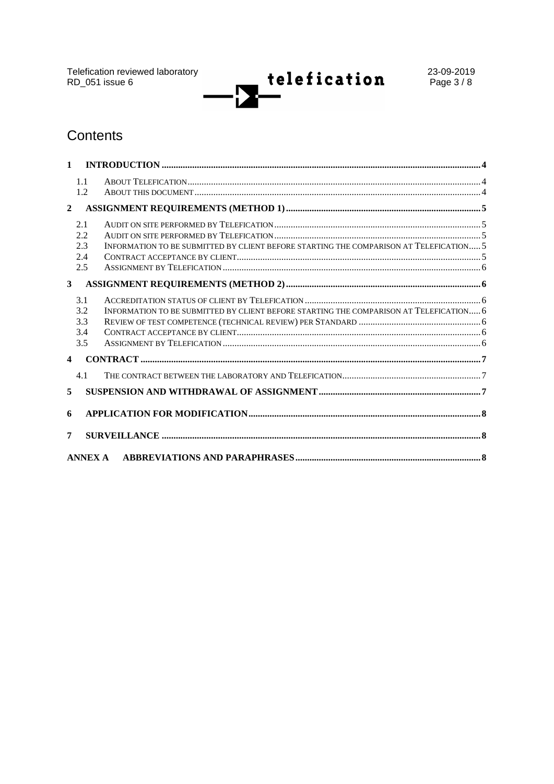Telefication reviewed laboratory<br>RD\_051 issue 6

telefication Ĭ.

# Contents

| $\mathbf{1}$     |                                 |                                                                                        |  |  |  |
|------------------|---------------------------------|----------------------------------------------------------------------------------------|--|--|--|
|                  | 1.1<br>1.2                      |                                                                                        |  |  |  |
| $\overline{2}$   |                                 |                                                                                        |  |  |  |
|                  | 2.1<br>2.2<br>2.3<br>2.4<br>2.5 | INFORMATION TO BE SUBMITTED BY CLIENT BEFORE STARTING THE COMPARISON AT TELEFICATION 5 |  |  |  |
| 3                |                                 |                                                                                        |  |  |  |
|                  | 3.1<br>3.2<br>3.3<br>3.4<br>3.5 | INFORMATION TO BE SUBMITTED BY CLIENT BEFORE STARTING THE COMPARISON AT TELEFICATION 6 |  |  |  |
| $\blacktriangle$ |                                 |                                                                                        |  |  |  |
|                  | 4.1                             |                                                                                        |  |  |  |
| 5                |                                 |                                                                                        |  |  |  |
| 6                |                                 |                                                                                        |  |  |  |
| 7                |                                 |                                                                                        |  |  |  |
|                  | ANNEX A                         |                                                                                        |  |  |  |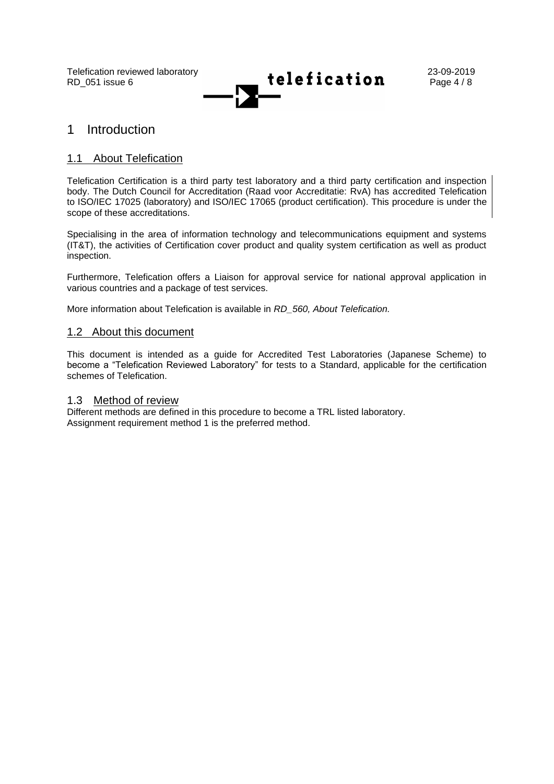

### 1 Introduction

#### 1.1 About Telefication

Telefication Certification is a third party test laboratory and a third party certification and inspection body. The Dutch Council for Accreditation (Raad voor Accreditatie: RvA) has accredited Telefication to ISO/IEC 17025 (laboratory) and ISO/IEC 17065 (product certification). This procedure is under the scope of these accreditations.

Specialising in the area of information technology and telecommunications equipment and systems (IT&T), the activities of Certification cover product and quality system certification as well as product inspection.

Furthermore, Telefication offers a Liaison for approval service for national approval application in various countries and a package of test services.

More information about Telefication is available in *RD\_560, About Telefication.*

#### 1.2 About this document

This document is intended as a guide for Accredited Test Laboratories (Japanese Scheme) to become a "Telefication Reviewed Laboratory" for tests to a Standard, applicable for the certification schemes of Telefication.

#### 1.3 Method of review

Different methods are defined in this procedure to become a TRL listed laboratory. Assignment requirement method 1 is the preferred method.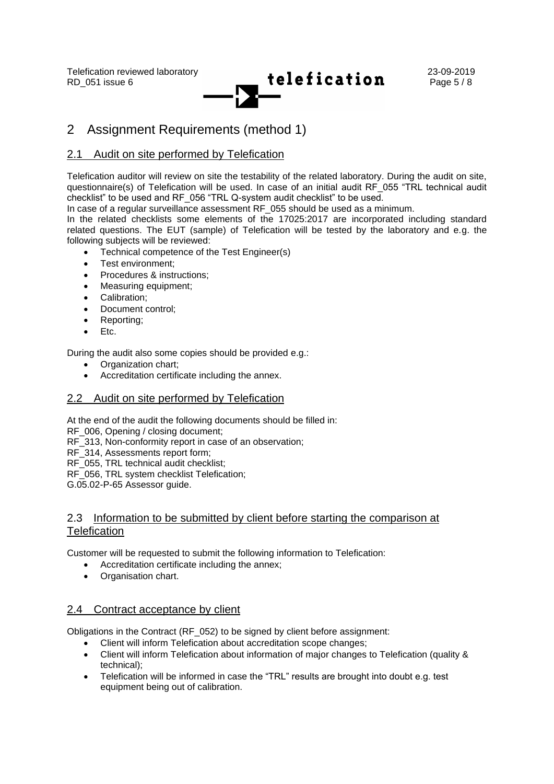

# 2 Assignment Requirements (method 1)

### 2.1 Audit on site performed by Telefication

Telefication auditor will review on site the testability of the related laboratory. During the audit on site, questionnaire(s) of Telefication will be used. In case of an initial audit RF\_055 "TRL technical audit checklist" to be used and RF\_056 "TRL Q-system audit checklist" to be used.

In case of a regular surveillance assessment RF\_055 should be used as a minimum.

In the related checklists some elements of the 17025:2017 are incorporated including standard related questions. The EUT (sample) of Telefication will be tested by the laboratory and e.g. the following subjects will be reviewed:

- Technical competence of the Test Engineer(s)
- Test environment;
- Procedures & instructions:
- Measuring equipment;
- Calibration;
- Document control;
- Reporting;
- Etc.

During the audit also some copies should be provided e.g.:

- Organization chart:
- Accreditation certificate including the annex.

#### 2.2 Audit on site performed by Telefication

At the end of the audit the following documents should be filled in:

RF\_006, Opening / closing document:

RF\_313, Non-conformity report in case of an observation;

RF 314, Assessments report form;

RF\_055, TRL technical audit checklist;

RF\_056, TRL system checklist Telefication;

G.05.02-P-65 Assessor guide.

#### 2.3 Information to be submitted by client before starting the comparison at **Telefication**

Customer will be requested to submit the following information to Telefication:

- Accreditation certificate including the annex;
- Organisation chart.

### 2.4 Contract acceptance by client

Obligations in the Contract (RF\_052) to be signed by client before assignment:

- Client will inform Telefication about accreditation scope changes;
- Client will inform Telefication about information of major changes to Telefication (quality & technical);
- Telefication will be informed in case the "TRL" results are brought into doubt e.g. test equipment being out of calibration.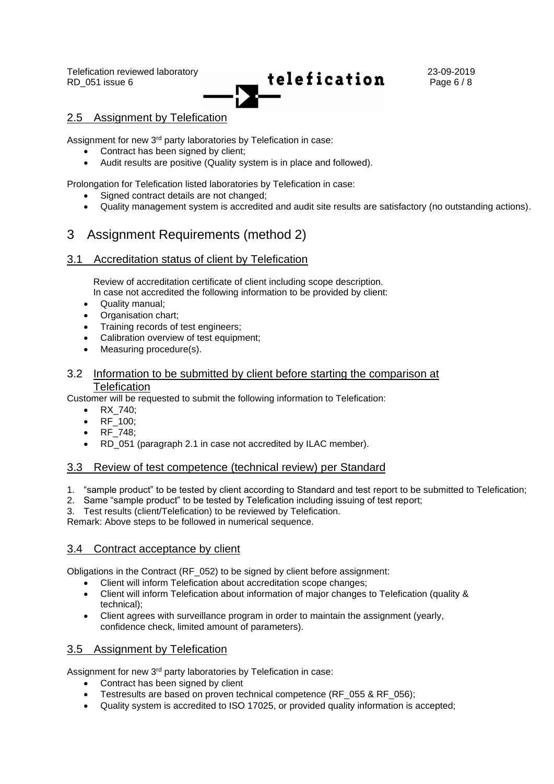

### 2.5 Assignment by Telefication

Assignment for new 3<sup>rd</sup> party laboratories by Telefication in case:

- Contract has been signed by client:
- Audit results are positive (Quality system is in place and followed).

Prolongation for Telefication listed laboratories by Telefication in case:

- Signed contract details are not changed;
- Quality management system is accredited and audit site results are satisfactory (no outstanding actions).

### 3 Assignment Requirements (method 2)

#### 3.1 Accreditation status of client by Telefication

Review of accreditation certificate of client including scope description. In case not accredited the following information to be provided by client:

- Quality manual;
- Organisation chart;
- Training records of test engineers;
- Calibration overview of test equipment;
- Measuring procedure(s).

#### 3.2 Information to be submitted by client before starting the comparison at Telefication

Customer will be requested to submit the following information to Telefication:

- RX\_740;
- RF\_100;
- RF\_748;
- RD 051 (paragraph 2.1 in case not accredited by ILAC member).

#### 3.3 Review of test competence (technical review) per Standard

- 1. "sample product" to be tested by client according to Standard and test report to be submitted to Telefication;
- 2. Same "sample product" to be tested by Telefication including issuing of test report;
- 3. Test results (client/Telefication) to be reviewed by Telefication.

Remark: Above steps to be followed in numerical sequence.

#### 3.4 Contract acceptance by client

Obligations in the Contract (RF\_052) to be signed by client before assignment:

- Client will inform Telefication about accreditation scope changes;
- Client will inform Telefication about information of major changes to Telefication (quality & technical);
- Client agrees with surveillance program in order to maintain the assignment (yearly, confidence check, limited amount of parameters).

### 3.5 Assignment by Telefication

Assignment for new 3<sup>rd</sup> party laboratories by Telefication in case:

- Contract has been signed by client
- Testresults are based on proven technical competence (RF\_055 & RF\_056);
- Quality system is accredited to ISO 17025, or provided quality information is accepted;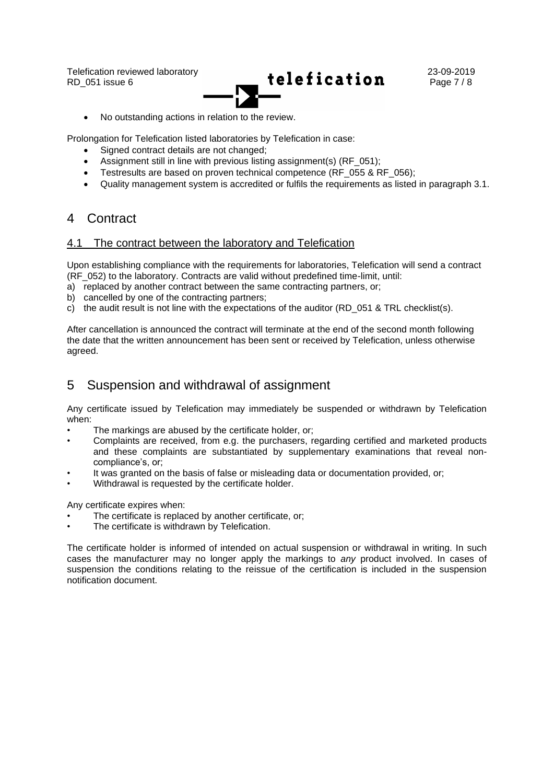

• No outstanding actions in relation to the review.

Prolongation for Telefication listed laboratories by Telefication in case:

- Signed contract details are not changed;
- Assignment still in line with previous listing assignment(s) (RF\_051);
- Testresults are based on proven technical competence (RF, 055 & RF, 056);
- Quality management system is accredited or fulfils the requirements as listed in paragraph 3.1.

### 4 Contract

#### 4.1 The contract between the laboratory and Telefication

Upon establishing compliance with the requirements for laboratories, Telefication will send a contract (RF\_052) to the laboratory. Contracts are valid without predefined time-limit, until:

- a) replaced by another contract between the same contracting partners, or;
- b) cancelled by one of the contracting partners;
- c) the audit result is not line with the expectations of the auditor (RD 051 & TRL checklist(s).

After cancellation is announced the contract will terminate at the end of the second month following the date that the written announcement has been sent or received by Telefication, unless otherwise agreed.

### 5 Suspension and withdrawal of assignment

Any certificate issued by Telefication may immediately be suspended or withdrawn by Telefication when:

- The markings are abused by the certificate holder, or;
- Complaints are received, from e.g. the purchasers, regarding certified and marketed products and these complaints are substantiated by supplementary examinations that reveal noncompliance's, or;
- It was granted on the basis of false or misleading data or documentation provided, or;
- Withdrawal is requested by the certificate holder.

Any certificate expires when:

- The certificate is replaced by another certificate, or;
- The certificate is withdrawn by Telefication.

The certificate holder is informed of intended on actual suspension or withdrawal in writing. In such cases the manufacturer may no longer apply the markings to *any* product involved. In cases of suspension the conditions relating to the reissue of the certification is included in the suspension notification document.